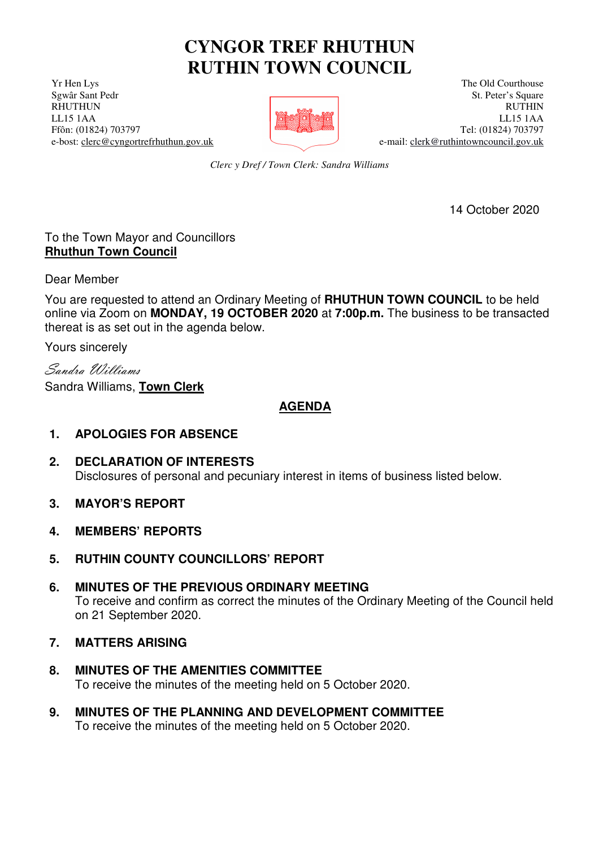# **CYNGOR TREF RHUTHUN RUTHIN TOWN COUNCIL**

**The Old Courthouse** The Old Courthouse The Old Courthouse The Old Courthouse



Serval Sant Pedr St. Peter's Square St. Peter's Square St. Peter's Square St. Peter's Square RHUTHUN RUTHIN RUTHIN RUTHIN RUTHIN LL15 1AA LL15 1AA Ffôn: (01824) 703797 Tel: (01824) 703797 e-bost: clerc@cyngortrefrhuthun.gov.uk e-mail: clerk@ruthintowncouncil.gov.uk

*Clerc y Dref / Town Clerk: Sandra Williams*

14 October 2020

## To the Town Mayor and Councillors **Rhuthun Town Council**

Dear Member

You are requested to attend an Ordinary Meeting of **RHUTHUN TOWN COUNCIL** to be held online via Zoom on **MONDAY, 19 OCTOBER 2020** at **7:00p.m.** The business to be transacted thereat is as set out in the agenda below.

Yours sincerely

Sandra Williams Sandra Williams, **Town Clerk**

# **AGENDA**

# **1. APOLOGIES FOR ABSENCE**

- **2. DECLARATION OF INTERESTS** Disclosures of personal and pecuniary interest in items of business listed below.
- **3. MAYOR'S REPORT**
- **4. MEMBERS' REPORTS**
- **5. RUTHIN COUNTY COUNCILLORS' REPORT**
- **6. MINUTES OF THE PREVIOUS ORDINARY MEETING** To receive and confirm as correct the minutes of the Ordinary Meeting of the Council held on 21 September 2020.

#### **7. MATTERS ARISING**

- **8. MINUTES OF THE AMENITIES COMMITTEE** To receive the minutes of the meeting held on 5 October 2020.
- **9. MINUTES OF THE PLANNING AND DEVELOPMENT COMMITTEE** To receive the minutes of the meeting held on 5 October 2020.